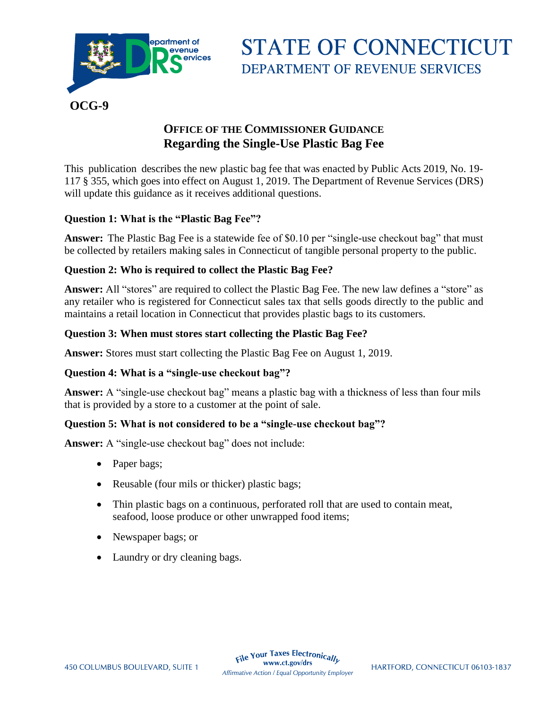

**STATE OF CONNECTICUT DEPARTMENT OF REVENUE SERVICES** 

# **OFFICE OF THE COMMISSIONER GUIDANCE Regarding the Single-Use Plastic Bag Fee**

This publication describes the new plastic bag fee that was enacted by Public Acts 2019, No. 19- 117 § 355, which goes into effect on August 1, 2019. The Department of Revenue Services (DRS) will update this guidance as it receives additional questions.

## **Question 1: What is the "Plastic Bag Fee"?**

**Answer:** The Plastic Bag Fee is a statewide fee of \$0.10 per "single-use checkout bag" that must be collected by retailers making sales in Connecticut of tangible personal property to the public.

## **Question 2: Who is required to collect the Plastic Bag Fee?**

**Answer:** All "stores" are required to collect the Plastic Bag Fee. The new law defines a "store" as any retailer who is registered for Connecticut sales tax that sells goods directly to the public and maintains a retail location in Connecticut that provides plastic bags to its customers.

#### **Question 3: When must stores start collecting the Plastic Bag Fee?**

**Answer:** Stores must start collecting the Plastic Bag Fee on August 1, 2019.

#### **Question 4: What is a "single-use checkout bag"?**

**Answer:** A "single-use checkout bag" means a plastic bag with a thickness of less than four mils that is provided by a store to a customer at the point of sale.

#### **Question 5: What is not considered to be a "single-use checkout bag"?**

**Answer:** A "single-use checkout bag" does not include:

- Paper bags;
- Reusable (four mils or thicker) plastic bags;
- Thin plastic bags on a continuous, perforated roll that are used to contain meat, seafood, loose produce or other unwrapped food items;
- Newspaper bags; or
- Laundry or dry cleaning bags.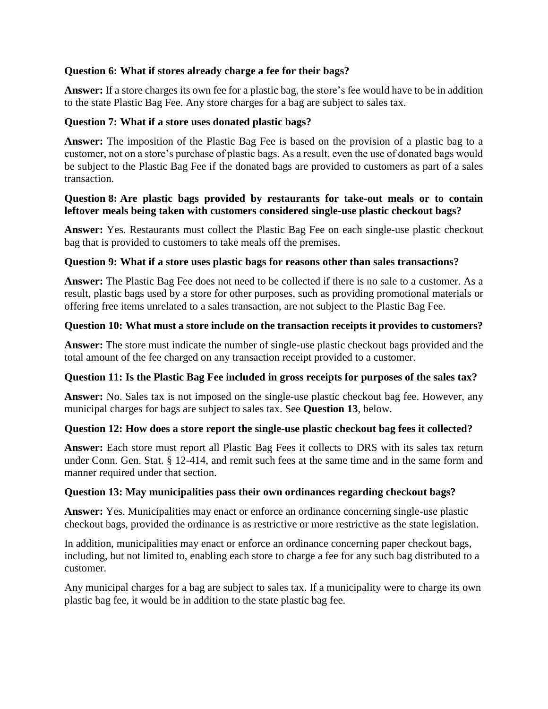## **Question 6: What if stores already charge a fee for their bags?**

**Answer:** If a store charges its own fee for a plastic bag, the store's fee would have to be in addition to the state Plastic Bag Fee. Any store charges for a bag are subject to sales tax.

## **Question 7: What if a store uses donated plastic bags?**

**Answer:** The imposition of the Plastic Bag Fee is based on the provision of a plastic bag to a customer, not on a store's purchase of plastic bags. As a result, even the use of donated bags would be subject to the Plastic Bag Fee if the donated bags are provided to customers as part of a sales transaction.

#### **Question 8: Are plastic bags provided by restaurants for take-out meals or to contain leftover meals being taken with customers considered single-use plastic checkout bags?**

**Answer:** Yes. Restaurants must collect the Plastic Bag Fee on each single-use plastic checkout bag that is provided to customers to take meals off the premises.

## **Question 9: What if a store uses plastic bags for reasons other than sales transactions?**

**Answer:** The Plastic Bag Fee does not need to be collected if there is no sale to a customer. As a result, plastic bags used by a store for other purposes, such as providing promotional materials or offering free items unrelated to a sales transaction, are not subject to the Plastic Bag Fee.

#### **Question 10: What must a store include on the transaction receipts it provides to customers?**

**Answer:** The store must indicate the number of single-use plastic checkout bags provided and the total amount of the fee charged on any transaction receipt provided to a customer.

## **Question 11: Is the Plastic Bag Fee included in gross receipts for purposes of the sales tax?**

**Answer:** No. Sales tax is not imposed on the single-use plastic checkout bag fee. However, any municipal charges for bags are subject to sales tax. See **Question 13**, below.

#### **Question 12: How does a store report the single-use plastic checkout bag fees it collected?**

**Answer:** Each store must report all Plastic Bag Fees it collects to DRS with its sales tax return under Conn. Gen. Stat. § 12-414, and remit such fees at the same time and in the same form and manner required under that section.

#### **Question 13: May municipalities pass their own ordinances regarding checkout bags?**

**Answer:** Yes. Municipalities may enact or enforce an ordinance concerning single-use plastic checkout bags, provided the ordinance is as restrictive or more restrictive as the state legislation.

In addition, municipalities may enact or enforce an ordinance concerning paper checkout bags, including, but not limited to, enabling each store to charge a fee for any such bag distributed to a customer.

Any municipal charges for a bag are subject to sales tax. If a municipality were to charge its own plastic bag fee, it would be in addition to the state plastic bag fee.